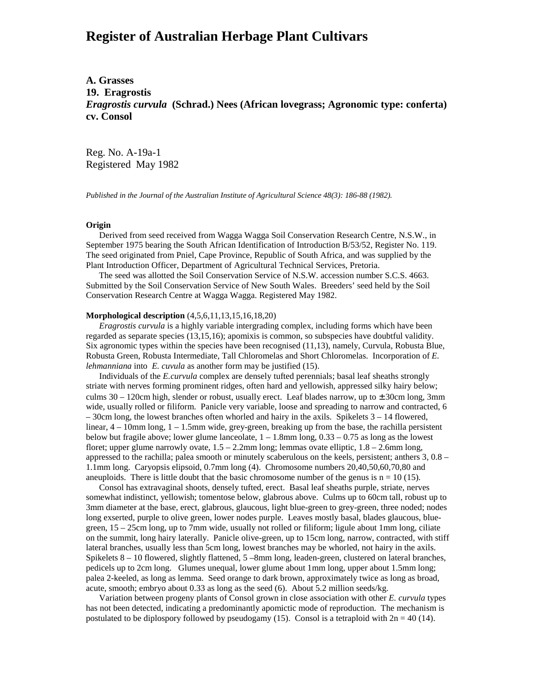# **Register of Australian Herbage Plant Cultivars**

# **A. Grasses 19. Eragrostis** *Eragrostis curvula* **(Schrad.) Nees (African lovegrass; Agronomic type: conferta) cv. Consol**

Reg. No. A-19a-1 Registered May 1982

*Published in the Journal of the Australian Institute of Agricultural Science 48(3): 186-88 (1982).*

### **Origin**

 Derived from seed received from Wagga Wagga Soil Conservation Research Centre, N.S.W., in September 1975 bearing the South African Identification of Introduction B/53/52, Register No. 119. The seed originated from Pniel, Cape Province, Republic of South Africa, and was supplied by the Plant Introduction Officer, Department of Agricultural Technical Services, Pretoria.

 The seed was allotted the Soil Conservation Service of N.S.W. accession number S.C.S. 4663. Submitted by the Soil Conservation Service of New South Wales. Breeders' seed held by the Soil Conservation Research Centre at Wagga Wagga. Registered May 1982.

#### **Morphological description** (4,5,6,11,13,15,16,18,20)

 *Eragrostis curvula* is a highly variable intergrading complex, including forms which have been regarded as separate species (13,15,16); apomixis is common, so subspecies have doubtful validity. Six agronomic types within the species have been recognised (11,13), namely, Curvula, Robusta Blue, Robusta Green, Robusta Intermediate, Tall Chloromelas and Short Chloromelas. Incorporation of *E. lehmanniana* into *E. cuvula* as another form may be justified (15).

 Individuals of the *E.curvula* complex are densely tufted perennials; basal leaf sheaths strongly striate with nerves forming prominent ridges, often hard and yellowish, appressed silky hairy below; culms  $30 - 120$ cm high, slender or robust, usually erect. Leaf blades narrow, up to  $\pm 30$ cm long, 3mm wide, usually rolled or filiform. Panicle very variable, loose and spreading to narrow and contracted, 6  $-30$ cm long, the lowest branches often whorled and hairy in the axils. Spikelets  $3 - 14$  flowered, linear,  $4 - 10$ mm long,  $1 - 1.5$ mm wide, grey-green, breaking up from the base, the rachilla persistent below but fragile above; lower glume lanceolate,  $1 - 1.8$ mm long,  $0.33 - 0.75$  as long as the lowest floret; upper glume narrowly ovate, 1.5 – 2.2mm long; lemmas ovate elliptic, 1.8 – 2.6mm long, appressed to the rachilla; palea smooth or minutely scaberulous on the keels, persistent; anthers 3, 0.8 – 1.1mm long. Caryopsis elipsoid, 0.7mm long (4). Chromosome numbers 20,40,50,60,70,80 and aneuploids. There is little doubt that the basic chromosome number of the genus is  $n = 10$  (15).

 Consol has extravaginal shoots, densely tufted, erect. Basal leaf sheaths purple, striate, nerves somewhat indistinct, yellowish; tomentose below, glabrous above. Culms up to 60cm tall, robust up to 3mm diameter at the base, erect, glabrous, glaucous, light blue-green to grey-green, three noded; nodes long exserted, purple to olive green, lower nodes purple. Leaves mostly basal, blades glaucous, bluegreen, 15 – 25cm long, up to 7mm wide, usually not rolled or filiform; ligule about 1mm long, ciliate on the summit, long hairy laterally. Panicle olive-green, up to 15cm long, narrow, contracted, with stiff lateral branches, usually less than 5cm long, lowest branches may be whorled, not hairy in the axils. Spikelets 8 – 10 flowered, slightly flattened, 5 –8mm long, leaden-green, clustered on lateral branches, pedicels up to 2cm long. Glumes unequal, lower glume about 1mm long, upper about 1.5mm long; palea 2-keeled, as long as lemma. Seed orange to dark brown, approximately twice as long as broad, acute, smooth; embryo about 0.33 as long as the seed (6). About 5.2 million seeds/kg.

 Variation between progeny plants of Consol grown in close association with other *E. curvula* types has not been detected, indicating a predominantly apomictic mode of reproduction. The mechanism is postulated to be diplospory followed by pseudogamy (15). Consol is a tetraploid with  $2n = 40$  (14).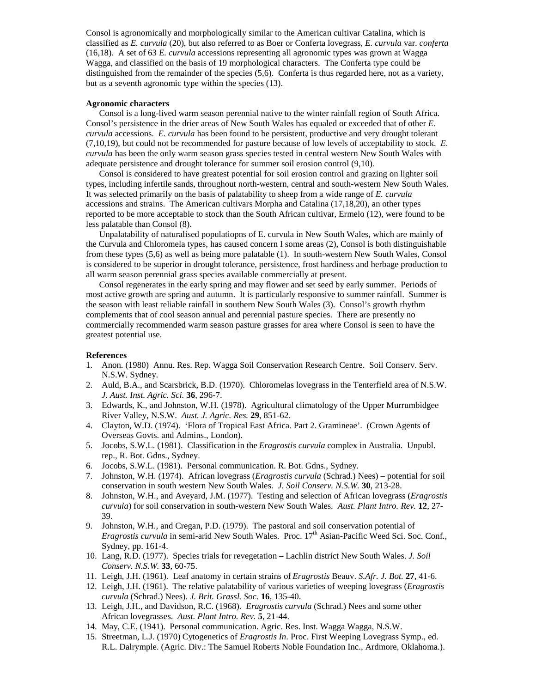Consol is agronomically and morphologically similar to the American cultivar Catalina, which is classified as *E. curvula* (20), but also referred to as Boer or Conferta lovegrass, *E. curvula* var. *conferta* (16,18). A set of 63 *E. curvula* accessions representing all agronomic types was grown at Wagga Wagga, and classified on the basis of 19 morphological characters. The Conferta type could be distinguished from the remainder of the species (5,6). Conferta is thus regarded here, not as a variety, but as a seventh agronomic type within the species (13).

#### **Agronomic characters**

 Consol is a long-lived warm season perennial native to the winter rainfall region of South Africa. Consol's persistence in the drier areas of New South Wales has equaled or exceeded that of other *E*. *curvula* accessions. *E. curvula* has been found to be persistent, productive and very drought tolerant (7,10,19), but could not be recommended for pasture because of low levels of acceptability to stock. *E*. *curvula* has been the only warm season grass species tested in central western New South Wales with adequate persistence and drought tolerance for summer soil erosion control (9,10).

 Consol is considered to have greatest potential for soil erosion control and grazing on lighter soil types, including infertile sands, throughout north-western, central and south-western New South Wales. It was selected primarily on the basis of palatability to sheep from a wide range of *E. curvula* accessions and strains. The American cultivars Morpha and Catalina (17,18,20), an other types reported to be more acceptable to stock than the South African cultivar, Ermelo (12), were found to be less palatable than Consol (8).

 Unpalatability of naturalised populatiopns of E. curvula in New South Wales, which are mainly of the Curvula and Chloromela types, has caused concern I some areas (2), Consol is both distinguishable from these types (5,6) as well as being more palatable (1). In south-western New South Wales, Consol is considered to be superior in drought tolerance, persistence, frost hardiness and herbage production to all warm season perennial grass species available commercially at present.

 Consol regenerates in the early spring and may flower and set seed by early summer. Periods of most active growth are spring and autumn. It is particularly responsive to summer rainfall. Summer is the season with least reliable rainfall in southern New South Wales (3). Consol's growth rhythm complements that of cool season annual and perennial pasture species. There are presently no commercially recommended warm season pasture grasses for area where Consol is seen to have the greatest potential use.

## **References**

- 1. Anon. (1980) Annu. Res. Rep. Wagga Soil Conservation Research Centre. Soil Conserv. Serv. N.S.W. Sydney.
- 2. Auld, B.A., and Scarsbrick, B.D. (1970). Chloromelas lovegrass in the Tenterfield area of N.S.W. *J. Aust. Inst. Agric. Sci.* **36**, 296-7.
- 3. Edwards, K., and Johnston, W.H. (1978). Agricultural climatology of the Upper Murrumbidgee River Valley, N.S.W. *Aust. J. Agric. Res.* **29**, 851-62.
- 4. Clayton, W.D. (1974). 'Flora of Tropical East Africa. Part 2. Gramineae'. (Crown Agents of Overseas Govts. and Admins., London).
- 5. Jocobs, S.W.L. (1981). Classification in the *Eragrostis curvula* complex in Australia. Unpubl. rep., R. Bot. Gdns., Sydney.
- 6. Jocobs, S.W.L. (1981). Personal communication. R. Bot. Gdns., Sydney.
- 7. Johnston, W.H. (1974). African lovegrass (*Eragrostis curvula* (Schrad.) Nees) potential for soil conservation in south western New South Wales. *J. Soil Conserv. N.S.W.* **30**, 213-28.
- 8. Johnston, W.H., and Aveyard, J.M. (1977). Testing and selection of African lovegrass (*Eragrostis curvula*) for soil conservation in south-western New South Wales. *Aust. Plant Intro. Rev.* **12**, 27- 39.
- 9. Johnston, W.H., and Cregan, P.D. (1979). The pastoral and soil conservation potential of *Eragrostis curvula* in semi-arid New South Wales. Proc. 17<sup>th</sup> Asian-Pacific Weed Sci. Soc. Conf., Sydney, pp. 161-4.
- 10. Lang, R.D. (1977). Species trials for revegetation Lachlin district New South Wales. *J. Soil Conserv. N.S.W.* **33**, 60-75.
- 11. Leigh, J.H. (1961). Leaf anatomy in certain strains of *Eragrostis* Beauv. *S.Afr. J. Bot.* **27**, 41-6.
- 12. Leigh, J.H. (1961). The relative palatability of various varieties of weeping lovegrass (*Eragrostis curvula* (Schrad.) Nees). *J. Brit. Grassl. Soc.* **16**, 135-40.
- 13. Leigh, J.H., and Davidson, R.C. (1968). *Eragrostis curvula* (Schrad.) Nees and some other African lovegrasses. *Aust. Plant Intro. Rev.* **5**, 21-44.
- 14. May, C.E. (1941). Personal communication. Agric. Res. Inst. Wagga Wagga, N.S.W.
- 15. Streetman, L.J. (1970) Cytogenetics of *Eragrostis In*. Proc. First Weeping Lovegrass Symp., ed. R.L. Dalrymple. (Agric. Div.: The Samuel Roberts Noble Foundation Inc., Ardmore, Oklahoma.).